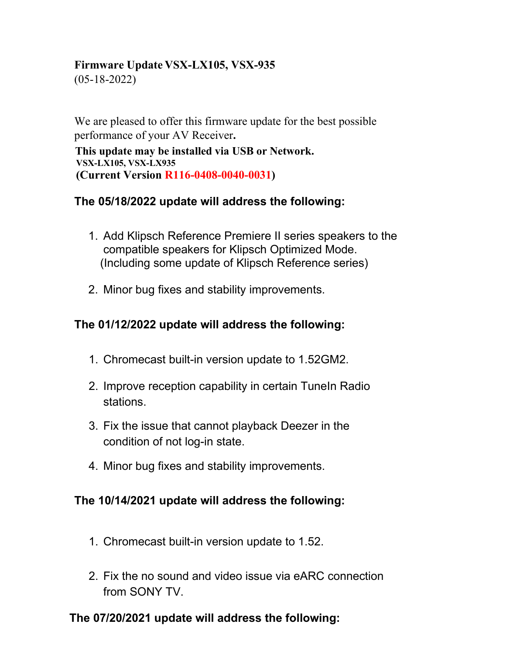#### **Firmware Update VSX-LX105, VSX-935**

(05-18-2022)

We are pleased to offer this firmware update for the best possible performance of your AV Receiver**.**

**This update may be installed via USB or Network. VSX-LX105, VSX-LX935 (Current Version R116-0408-0040-0031)**

# **The 05/18/2022 update will address the following:**

- 1. Add Klipsch Reference Premiere II series speakers to the compatible speakers for Klipsch Optimized Mode. (Including some update of Klipsch Reference series)
- 2. Minor bug fixes and stability improvements.

# **The 01/12/2022 update will address the following:**

- 1. Chromecast built-in version update to 1.52GM2.
- 2. Improve reception capability in certain TuneIn Radio stations.
- 3. Fix the issue that cannot playback Deezer in the condition of not log-in state.
- 4. Minor bug fixes and stability improvements.

# **The 10/14/2021 update will address the following:**

- 1. Chromecast built-in version update to 1.52.
- 2. Fix the no sound and video issue via eARC connection from SONY TV.

# **The 07/20/2021 update will address the following:**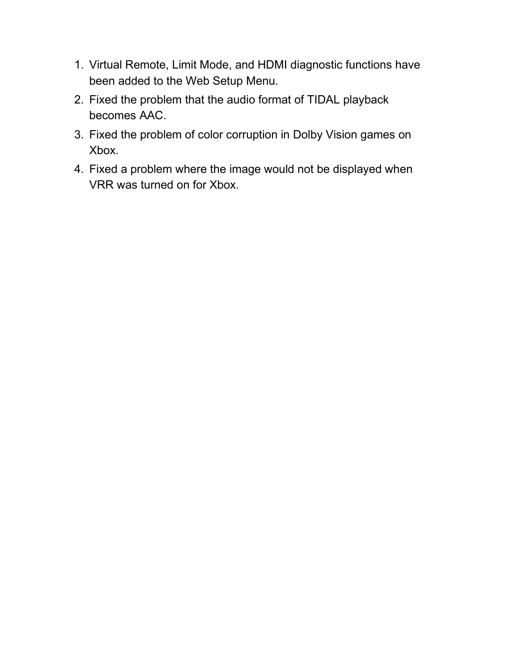- 1. Virtual Remote, Limit Mode, and HDMI diagnostic functions have been added to the Web Setup Menu.
- 2. Fixed the problem that the audio format of TIDAL playback becomes AAC.
- 3. Fixed the problem of color corruption in Dolby Vision games on Xbox.
- 4. Fixed a problem where the image would not be displayed when VRR was turned on for Xbox.